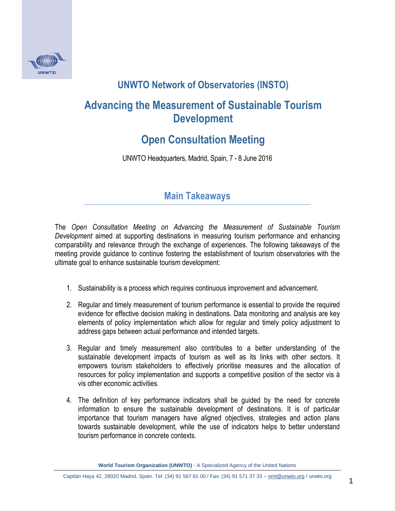

## **UNWTO Network of Observatories (INSTO)**

## **Advancing the Measurement of Sustainable Tourism Development**

## **Open Consultation Meeting**

UNWTO Headquarters, Madrid, Spain, 7 - 8 June 2016

## **Main Takeaways**

The *Open Consultation Meeting on Advancing the Measurement of Sustainable Tourism Development* aimed at supporting destinations in measuring tourism performance and enhancing comparability and relevance through the exchange of experiences. The following takeaways of the meeting provide guidance to continue fostering the establishment of tourism observatories with the ultimate goal to enhance sustainable tourism development:

- 1. Sustainability is a process which requires continuous improvement and advancement.
- 2. Regular and timely measurement of tourism performance is essential to provide the required evidence for effective decision making in destinations. Data monitoring and analysis are key elements of policy implementation which allow for regular and timely policy adjustment to address gaps between actual performance and intended targets.
- 3. Regular and timely measurement also contributes to a better understanding of the sustainable development impacts of tourism as well as its links with other sectors. It empowers tourism stakeholders to effectively prioritise measures and the allocation of resources for policy implementation and supports a competitive position of the sector vis à vis other economic activities.
- 4. The definition of key performance indicators shall be guided by the need for concrete information to ensure the sustainable development of destinations. It is of particular importance that tourism managers have aligned objectives, strategies and action plans towards sustainable development, while the use of indicators helps to better understand tourism performance in concrete contexts.

**World Tourism Organization (UNWTO)** - A Specialized Agency of the United Nations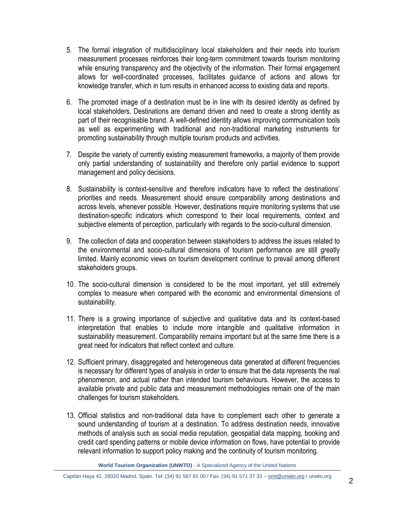- 5. The formal integration of multidisciplinary local stakeholders and their needs into tourism measurement processes reinforces their long-term commitment towards tourism monitoring while ensuring transparency and the objectivity of the information. Their formal engagement allows for well-coordinated processes, facilitates guidance of actions and allows for knowledge transfer, which in turn results in enhanced access to existing data and reports.
- 6. The promoted image of a destination must be in line with its desired identity as defined by local stakeholders. Destinations are demand driven and need to create a strong identity as part of their recognisable brand. A well-defined identity allows improving communication tools as well as experimenting with traditional and non-traditional marketing instruments for promoting sustainability through multiple tourism products and activities.
- 7. Despite the variety of currently existing measurement frameworks, a majority of them provide only partial understanding of sustainability and therefore only partial evidence to support management and policy decisions.
- 8. Sustainability is context-sensitive and therefore indicators have to reflect the destinations' priorities and needs. Measurement should ensure comparability among destinations and across levels, whenever possible. However, destinations require monitoring systems that use destination-specific indicators which correspond to their local requirements, context and subjective elements of perception, particularly with regards to the socio-cultural dimension.
- 9. The collection of data and cooperation between stakeholders to address the issues related to the environmental and socio-cultural dimensions of tourism performance are still greatly limited. Mainly economic views on tourism development continue to prevail among different stakeholders groups.
- 10. The socio-cultural dimension is considered to be the most important, yet still extremely complex to measure when compared with the economic and environmental dimensions of sustainability.
- 11. There is a growing importance of subjective and qualitative data and its context-based interpretation that enables to include more intangible and qualitative information in sustainability measurement. Comparability remains important but at the same time there is a great need for indicators that reflect context and culture.
- 12. Sufficient primary, disaggregated and heterogeneous data generated at different frequencies is necessary for different types of analysis in order to ensure that the data represents the real phenomenon, and actual rather than intended tourism behaviours. However, the access to available private and public data and measurement methodologies remain one of the main challenges for tourism stakeholders.
- 13. Official statistics and non-traditional data have to complement each other to generate a sound understanding of tourism at a destination. To address destination needs, innovative methods of analysis such as social media reputation, geospatial data mapping, booking and credit card spending patterns or mobile device information on flows, have potential to provide relevant information to support policy making and the continuity of tourism monitoring.

**World Tourism Organization (UNWTO)** - A Specialized Agency of the United Nations